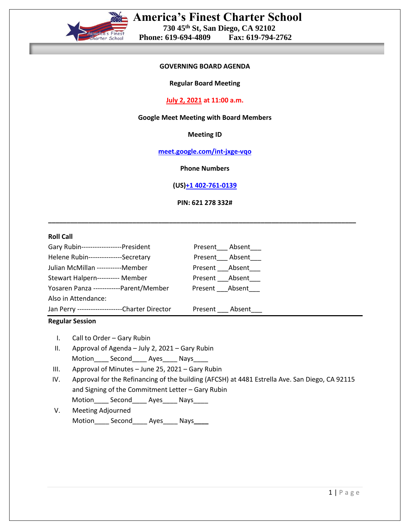

#### **GOVERNING BOARD AGENDA**

**Regular Board Meeting**

# **July 2, 2021 at 11:00 a.m.**

# **Google Meet Meeting with Board Members**

**Meeting ID**

**[meet.google.com/int-jxge-vqo](https://meet.google.com/int-jxge-vqo?hs=122&authuser=0)**

**Phone Numbers**

**(US[\)+1 402-761-0139](tel:%E2%80%AA+1%20402-761-0139%E2%80%AC)**

**PIN: 621 278 332#**

**\_\_\_\_\_\_\_\_\_\_\_\_\_\_\_\_\_\_\_\_\_\_\_\_\_\_\_\_\_\_\_\_\_\_\_\_\_\_\_\_\_\_\_\_\_\_\_\_\_\_\_\_\_\_\_\_\_\_\_\_\_\_\_\_\_\_\_\_\_\_\_\_\_\_\_\_\_\_\_\_\_\_\_\_**

#### **Roll Call**

| Gary Rubin------------------President           |                        | Present____ Absent____ |
|-------------------------------------------------|------------------------|------------------------|
| Helene Rubin---------------Secretary            |                        | Present Absent         |
| Julian McMillan -----------Member               | Present ____Absent____ |                        |
| Stewart Halpern---------- Member                | Present Absent         |                        |
| Yosaren Panza ------------Parent/Member         | Present Absent         |                        |
| Also in Attendance:                             |                        |                        |
| Jan Perry ---------------------Charter Director | Present Absent         |                        |

# **Regular Session**

- I. Call to Order Gary Rubin
- II. Approval of Agenda July 2, 2021 Gary Rubin Motion Second Ayes Nays
- III. Approval of Minutes June 25, 2021 Gary Rubin
- IV. Approval for the Refinancing of the building (AFCSH) at 4481 Estrella Ave. San Diego, CA 92115 and Signing of the Commitment Letter – Gary Rubin Motion\_\_\_\_\_ Second\_\_\_\_\_ Ayes\_\_\_\_\_ Nays\_\_\_\_\_
- V. Meeting Adjourned Motion\_\_\_\_ Second\_\_\_\_ Ayes\_\_\_\_ Nays**\_\_\_\_**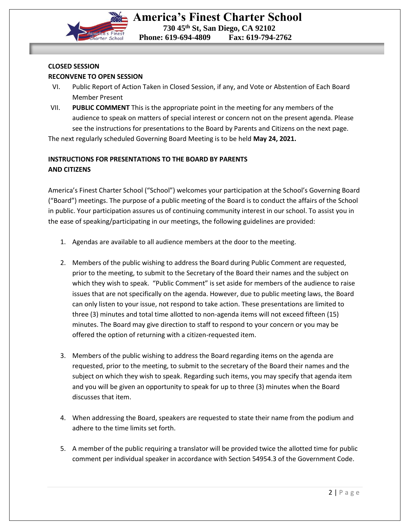

# **CLOSED SESSION RECONVENE TO OPEN SESSION**

- VI. Public Report of Action Taken in Closed Session, if any, and Vote or Abstention of Each Board Member Present
- VII. **PUBLIC COMMENT** This is the appropriate point in the meeting for any members of the audience to speak on matters of special interest or concern not on the present agenda. Please see the instructions for presentations to the Board by Parents and Citizens on the next page.

The next regularly scheduled Governing Board Meeting is to be held **May 24, 2021.**

# **INSTRUCTIONS FOR PRESENTATIONS TO THE BOARD BY PARENTS AND CITIZENS**

America's Finest Charter School ("School") welcomes your participation at the School's Governing Board ("Board") meetings. The purpose of a public meeting of the Board is to conduct the affairs of the School in public. Your participation assures us of continuing community interest in our school. To assist you in the ease of speaking/participating in our meetings, the following guidelines are provided:

- 1. Agendas are available to all audience members at the door to the meeting.
- 2. Members of the public wishing to address the Board during Public Comment are requested, prior to the meeting, to submit to the Secretary of the Board their names and the subject on which they wish to speak. "Public Comment" is set aside for members of the audience to raise issues that are not specifically on the agenda. However, due to public meeting laws, the Board can only listen to your issue, not respond to take action. These presentations are limited to three (3) minutes and total time allotted to non-agenda items will not exceed fifteen (15) minutes. The Board may give direction to staff to respond to your concern or you may be offered the option of returning with a citizen-requested item.
- 3. Members of the public wishing to address the Board regarding items on the agenda are requested, prior to the meeting, to submit to the secretary of the Board their names and the subject on which they wish to speak. Regarding such items, you may specify that agenda item and you will be given an opportunity to speak for up to three (3) minutes when the Board discusses that item.
- 4. When addressing the Board, speakers are requested to state their name from the podium and adhere to the time limits set forth.
- 5. A member of the public requiring a translator will be provided twice the allotted time for public comment per individual speaker in accordance with Section 54954.3 of the Government Code.